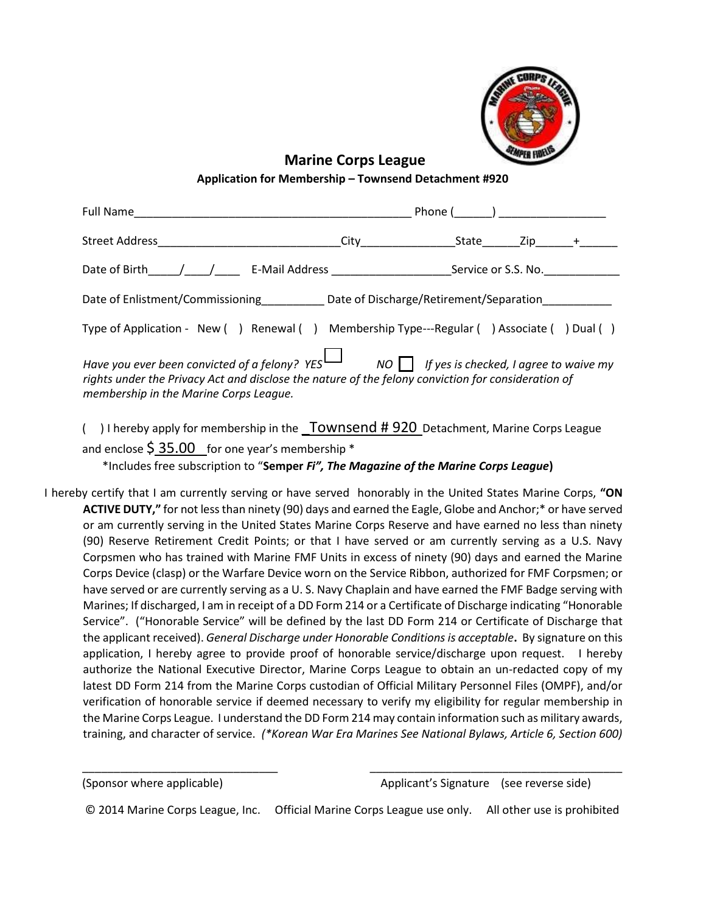

**Marine Corps League** 

## **Application for Membership – Townsend Detachment #920**

| Full Name                                                                                                                                                                                                                                             | Phone (<br>) and the contract of $\overline{\phantom{a}}$ |       |                     |  |
|-------------------------------------------------------------------------------------------------------------------------------------------------------------------------------------------------------------------------------------------------------|-----------------------------------------------------------|-------|---------------------|--|
| Street Address and the Street Address                                                                                                                                                                                                                 | City <b>City</b>                                          | State | $Zip +$             |  |
|                                                                                                                                                                                                                                                       |                                                           |       | Service or S.S. No. |  |
| Date of Enlistment/Commissioning Date of Discharge/Retirement/Separation                                                                                                                                                                              |                                                           |       |                     |  |
| Type of Application - New () Renewal () Membership Type---Regular () Associate () Dual ()                                                                                                                                                             |                                                           |       |                     |  |
| Have you ever been convicted of a felony? YES $\Box$ NO $\Box$ If yes is checked, I agree to waive my<br>rights under the Privacy Act and disclose the nature of the felony conviction for consideration of<br>membership in the Marine Corps League. |                                                           |       |                     |  |

- ( $\Box$ ) I hereby apply for membership in the  $\Box$  Townsend # 920 Detachment, Marine Corps League and enclose  $\frac{2}{5}$  35.00 for one year's membership  $*$ \*Includes free subscription to "**Semper** *Fi", The Magazine of the Marine Corps League***)**
- I hereby certify that I am currently serving or have served honorably in the United States Marine Corps, **"ON ACTIVE DUTY,"** for not less than ninety (90) days and earned the Eagle, Globe and Anchor;\* or have served or am currently serving in the United States Marine Corps Reserve and have earned no less than ninety (90) Reserve Retirement Credit Points; or that I have served or am currently serving as a U.S. Navy Corpsmen who has trained with Marine FMF Units in excess of ninety (90) days and earned the Marine Corps Device (clasp) or the Warfare Device worn on the Service Ribbon, authorized for FMF Corpsmen; or have served or are currently serving as a U. S. Navy Chaplain and have earned the FMF Badge serving with Marines; If discharged, I am in receipt of a DD Form 214 or a Certificate of Discharge indicating "Honorable Service". ("Honorable Service" will be defined by the last DD Form 214 or Certificate of Discharge that the applicant received). *General Discharge under Honorable Conditions is acceptable***.** By signature on this application, I hereby agree to provide proof of honorable service/discharge upon request. I hereby authorize the National Executive Director, Marine Corps League to obtain an un-redacted copy of my latest DD Form 214 from the Marine Corps custodian of Official Military Personnel Files (OMPF), and/or verification of honorable service if deemed necessary to verify my eligibility for regular membership in the Marine Corps League. I understand the DD Form 214 may contain information such as military awards, training, and character of service. *(\*Korean War Era Marines See National Bylaws, Article 6, Section 600)*

© 2014 Marine Corps League, Inc. Official Marine Corps League use only. All other use is prohibited

\_\_\_\_\_\_\_\_\_\_\_\_\_\_\_\_\_\_\_\_\_\_\_\_\_\_\_\_\_\_\_ \_\_\_\_\_\_\_\_\_\_\_\_\_\_\_\_\_\_\_\_\_\_\_\_\_\_\_\_\_\_\_\_\_\_\_\_\_\_\_\_